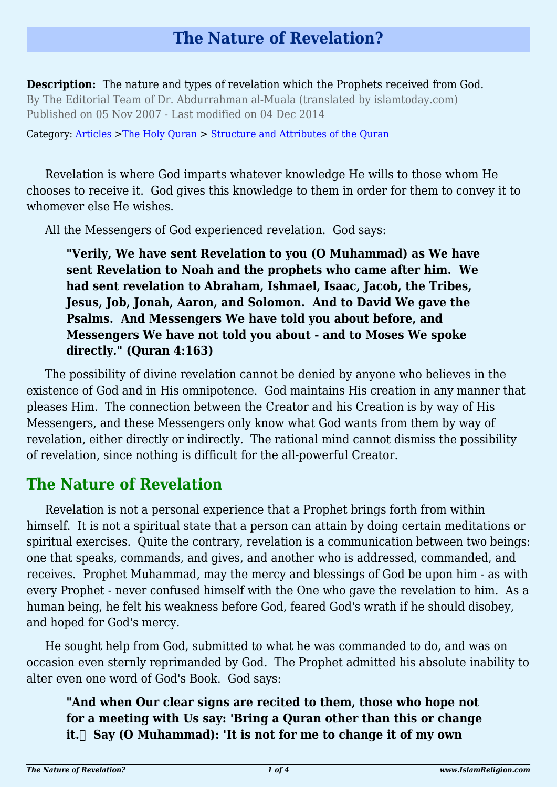# **The Nature of Revelation?**

**Description:** The nature and types of revelation which the Prophets received from God. By The Editorial Team of Dr. Abdurrahman al-Muala (translated by islamtoday.com) Published on 05 Nov 2007 - Last modified on 04 Dec 2014

Category: [Articles](http://www.islamreligion.com/articles/) >[The Holy Quran](http://www.islamreligion.com/category/75/) > [Structure and Attributes of the Quran](http://www.islamreligion.com/category/1130/)

Revelation is where God imparts whatever knowledge He wills to those whom He chooses to receive it. God gives this knowledge to them in order for them to convey it to whomever else He wishes.

All the Messengers of God experienced revelation. God says:

**"Verily, We have sent Revelation to you (O Muhammad) as We have sent Revelation to Noah and the prophets who came after him. We had sent revelation to Abraham, Ishmael, Isaac, Jacob, the Tribes, Jesus, Job, Jonah, Aaron, and Solomon. And to David We gave the Psalms. And Messengers We have told you about before, and Messengers We have not told you about - and to Moses We spoke directly." (Quran 4:163)**

The possibility of divine revelation cannot be denied by anyone who believes in the existence of God and in His omnipotence. God maintains His creation in any manner that pleases Him. The connection between the Creator and his Creation is by way of His Messengers, and these Messengers only know what God wants from them by way of revelation, either directly or indirectly. The rational mind cannot dismiss the possibility of revelation, since nothing is difficult for the all-powerful Creator.

## **The Nature of Revelation**

Revelation is not a personal experience that a Prophet brings forth from within himself. It is not a spiritual state that a person can attain by doing certain meditations or spiritual exercises. Quite the contrary, revelation is a communication between two beings: one that speaks, commands, and gives, and another who is addressed, commanded, and receives. Prophet Muhammad, may the mercy and blessings of God be upon him - as with every Prophet - never confused himself with the One who gave the revelation to him. As a human being, he felt his weakness before God, feared God's wrath if he should disobey, and hoped for God's mercy.

He sought help from God, submitted to what he was commanded to do, and was on occasion even sternly reprimanded by God. The Prophet admitted his absolute inability to alter even one word of God's Book. God says:

**"And when Our clear signs are recited to them, those who hope not for a meeting with Us say: 'Bring a Quran other than this or change it.** Say (O Muhammad): 'It is not for me to change it of my own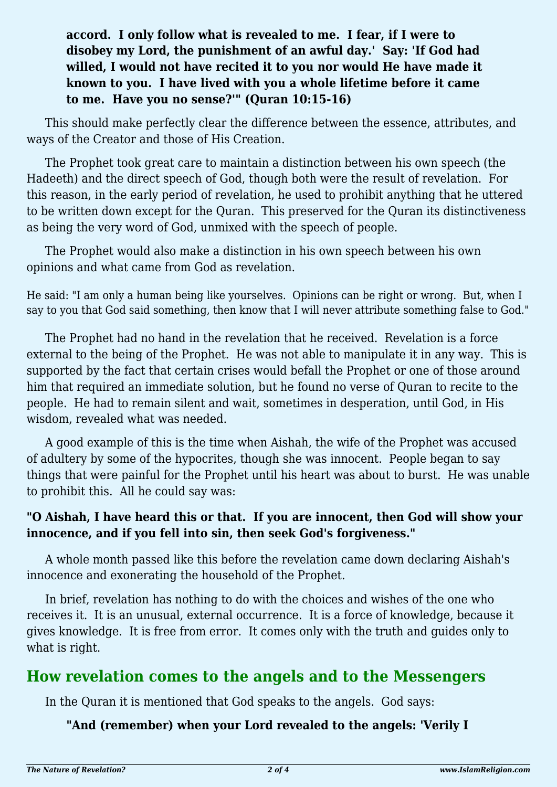### **accord. I only follow what is revealed to me. I fear, if I were to disobey my Lord, the punishment of an awful day.' Say: 'If God had willed, I would not have recited it to you nor would He have made it known to you. I have lived with you a whole lifetime before it came to me. Have you no sense?'" (Quran 10:15-16)**

This should make perfectly clear the difference between the essence, attributes, and ways of the Creator and those of His Creation.

The Prophet took great care to maintain a distinction between his own speech (the Hadeeth) and the direct speech of God, though both were the result of revelation. For this reason, in the early period of revelation, he used to prohibit anything that he uttered to be written down except for the Quran. This preserved for the Quran its distinctiveness as being the very word of God, unmixed with the speech of people.

The Prophet would also make a distinction in his own speech between his own opinions and what came from God as revelation.

He said: "I am only a human being like yourselves. Opinions can be right or wrong. But, when I say to you that God said something, then know that I will never attribute something false to God."

The Prophet had no hand in the revelation that he received. Revelation is a force external to the being of the Prophet. He was not able to manipulate it in any way. This is supported by the fact that certain crises would befall the Prophet or one of those around him that required an immediate solution, but he found no verse of Quran to recite to the people. He had to remain silent and wait, sometimes in desperation, until God, in His wisdom, revealed what was needed.

A good example of this is the time when Aishah, the wife of the Prophet was accused of adultery by some of the hypocrites, though she was innocent. People began to say things that were painful for the Prophet until his heart was about to burst. He was unable to prohibit this. All he could say was:

#### **"O Aishah, I have heard this or that. If you are innocent, then God will show your innocence, and if you fell into sin, then seek God's forgiveness."**

A whole month passed like this before the revelation came down declaring Aishah's innocence and exonerating the household of the Prophet.

In brief, revelation has nothing to do with the choices and wishes of the one who receives it. It is an unusual, external occurrence. It is a force of knowledge, because it gives knowledge. It is free from error. It comes only with the truth and guides only to what is right.

## **How revelation comes to the angels and to the Messengers**

In the Quran it is mentioned that God speaks to the angels. God says:

#### **"And (remember) when your Lord revealed to the angels: 'Verily I**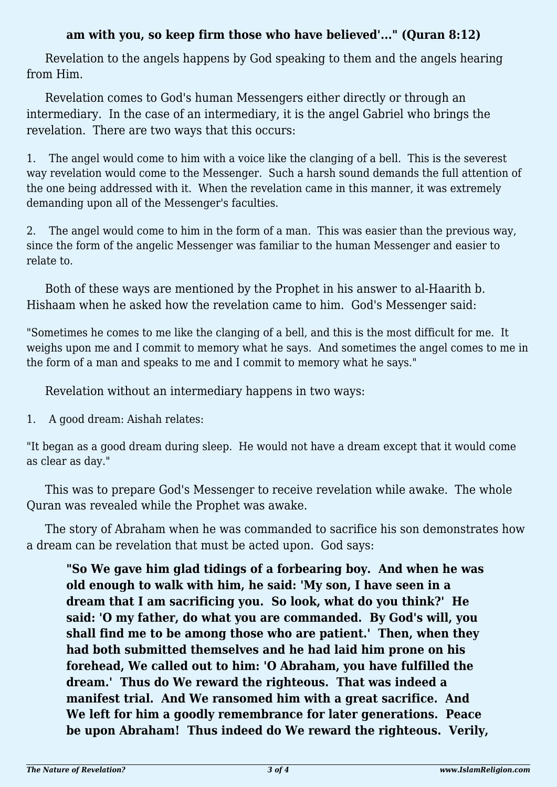#### **am with you, so keep firm those who have believed'..." (Quran 8:12)**

Revelation to the angels happens by God speaking to them and the angels hearing from Him.

Revelation comes to God's human Messengers either directly or through an intermediary. In the case of an intermediary, it is the angel Gabriel who brings the revelation. There are two ways that this occurs:

1. The angel would come to him with a voice like the clanging of a bell. This is the severest way revelation would come to the Messenger. Such a harsh sound demands the full attention of the one being addressed with it. When the revelation came in this manner, it was extremely demanding upon all of the Messenger's faculties.

2. The angel would come to him in the form of a man. This was easier than the previous way, since the form of the angelic Messenger was familiar to the human Messenger and easier to relate to.

Both of these ways are mentioned by the Prophet in his answer to al-Haarith b. Hishaam when he asked how the revelation came to him. God's Messenger said:

"Sometimes he comes to me like the clanging of a bell, and this is the most difficult for me. It weighs upon me and I commit to memory what he says. And sometimes the angel comes to me in the form of a man and speaks to me and I commit to memory what he says."

Revelation without an intermediary happens in two ways:

1. A good dream: Aishah relates:

"It began as a good dream during sleep. He would not have a dream except that it would come as clear as day."

This was to prepare God's Messenger to receive revelation while awake. The whole Quran was revealed while the Prophet was awake.

The story of Abraham when he was commanded to sacrifice his son demonstrates how a dream can be revelation that must be acted upon. God says:

**"So We gave him glad tidings of a forbearing boy. And when he was old enough to walk with him, he said: 'My son, I have seen in a dream that I am sacrificing you. So look, what do you think?' He said: 'O my father, do what you are commanded. By God's will, you shall find me to be among those who are patient.' Then, when they had both submitted themselves and he had laid him prone on his forehead, We called out to him: 'O Abraham, you have fulfilled the dream.' Thus do We reward the righteous. That was indeed a manifest trial. And We ransomed him with a great sacrifice. And We left for him a goodly remembrance for later generations. Peace be upon Abraham! Thus indeed do We reward the righteous. Verily,**